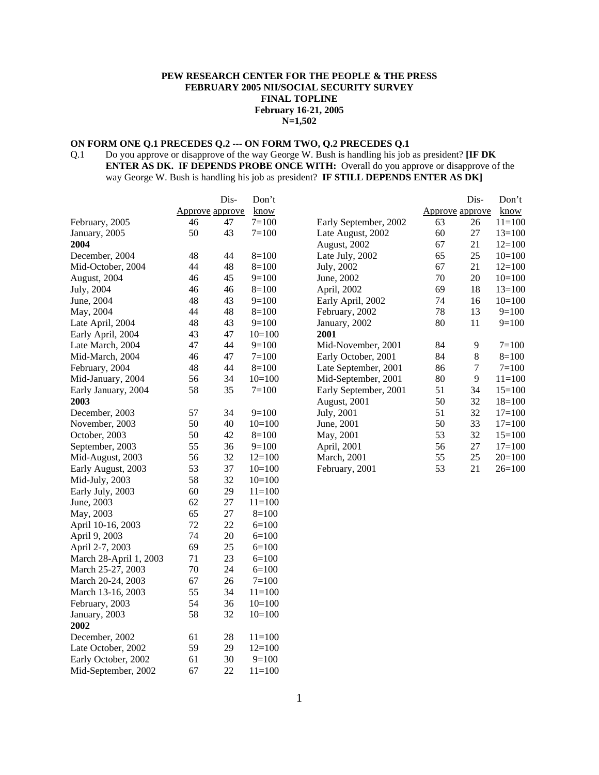# **PEW RESEARCH CENTER FOR THE PEOPLE & THE PRESS FEBRUARY 2005 NII/SOCIAL SECURITY SURVEY FINAL TOPLINE February 16-21, 2005 N=1,502**

# **ON FORM ONE Q.1 PRECEDES Q.2 --- ON FORM TWO, Q.2 PRECEDES Q.1**

Q.1 Do you approve or disapprove of the way George W. Bush is handling his job as president? **[IF DK ENTER AS DK. IF DEPENDS PROBE ONCE WITH:** Overall do you approve or disapprove of the way George W. Bush is handling his job as president? **IF STILL DEPENDS ENTER AS DK]**

|                        |                 | Dis- | Don't      |                       |    | Dis-            | Don't      |
|------------------------|-----------------|------|------------|-----------------------|----|-----------------|------------|
|                        | Approve approve |      | know       |                       |    | Approve approve | know       |
| February, 2005         | 46              | 47   | $7 = 100$  | Early September, 2002 | 63 | 26              | $11 = 100$ |
| January, 2005          | 50              | 43   | $7 = 100$  | Late August, 2002     | 60 | 27              | $13=100$   |
| 2004                   |                 |      |            | August, 2002          | 67 | 21              | $12=100$   |
| December, 2004         | 48              | 44   | $8=100$    | Late July, 2002       | 65 | 25              | $10=100$   |
| Mid-October, 2004      | 44              | 48   | $8=100$    | July, 2002            | 67 | 21              | $12=100$   |
| August, 2004           | 46              | 45   | $9=100$    | June, 2002            | 70 | 20              | $10=100$   |
| July, 2004             | 46              | 46   | $8=100$    | April, 2002           | 69 | 18              | $13=100$   |
| June, 2004             | 48              | 43   | $9=100$    | Early April, 2002     | 74 | 16              | $10=100$   |
| May, 2004              | 44              | 48   | $8=100$    | February, 2002        | 78 | 13              | $9=100$    |
| Late April, 2004       | 48              | 43   | $9=100$    | January, 2002         | 80 | 11              | $9=100$    |
| Early April, 2004      | 43              | 47   | $10=100$   | 2001                  |    |                 |            |
| Late March, 2004       | 47              | 44   | $9=100$    | Mid-November, 2001    | 84 | 9               | $7 = 100$  |
| Mid-March, 2004        | 46              | 47   | $7 = 100$  | Early October, 2001   | 84 | 8               | $8=100$    |
| February, 2004         | 48              | 44   | $8=100$    | Late September, 2001  | 86 | 7               | $7 = 100$  |
| Mid-January, 2004      | 56              | 34   | $10=100$   | Mid-September, 2001   | 80 | 9               | $11 = 100$ |
| Early January, 2004    | 58              | 35   | $7=100$    | Early September, 2001 | 51 | 34              | $15=100$   |
| 2003                   |                 |      |            | August, 2001          | 50 | 32              | $18=100$   |
| December, 2003         | 57              | 34   | $9=100$    | July, 2001            | 51 | 32              | $17=100$   |
| November, 2003         | 50              | 40   | $10=100$   | June, 2001            | 50 | 33              | $17=100$   |
| October, 2003          | 50              | 42   | $8=100$    | May, 2001             | 53 | 32              | $15=100$   |
| September, 2003        | 55              | 36   | $9=100$    | April, 2001           | 56 | 27              | $17=100$   |
| Mid-August, 2003       | 56              | 32   | $12=100$   | March, 2001           | 55 | 25              | $20=100$   |
| Early August, 2003     | 53              | 37   | $10=100$   | February, 2001        | 53 | 21              | $26=100$   |
| Mid-July, 2003         | 58              | 32   | $10=100$   |                       |    |                 |            |
| Early July, 2003       | 60              | 29   | $11 = 100$ |                       |    |                 |            |
| June, 2003             | 62              | 27   | $11 = 100$ |                       |    |                 |            |
| May, 2003              | 65              | 27   | $8=100$    |                       |    |                 |            |
| April 10-16, 2003      | 72              | 22   | $6=100$    |                       |    |                 |            |
| April 9, 2003          | 74              | 20   | $6=100$    |                       |    |                 |            |
| April 2-7, 2003        | 69              | 25   | $6=100$    |                       |    |                 |            |
| March 28-April 1, 2003 | 71              | 23   | $6=100$    |                       |    |                 |            |
| March 25-27, 2003      | 70              | 24   | $6=100$    |                       |    |                 |            |
| March 20-24, 2003      | 67              | 26   | $7=100$    |                       |    |                 |            |
| March 13-16, 2003      | 55              | 34   | $11 = 100$ |                       |    |                 |            |
| February, 2003         | 54              | 36   | $10=100$   |                       |    |                 |            |
| January, 2003          | 58              | 32   | $10=100$   |                       |    |                 |            |
| 2002                   |                 |      |            |                       |    |                 |            |
| December, 2002         | 61              | 28   | $11 = 100$ |                       |    |                 |            |
| Late October, 2002     | 59              | 29   | $12=100$   |                       |    |                 |            |
| Early October, 2002    | 61              | 30   | $9=100$    |                       |    |                 |            |
| Mid-September, 2002    | 67              | 22   | $11 = 100$ |                       |    |                 |            |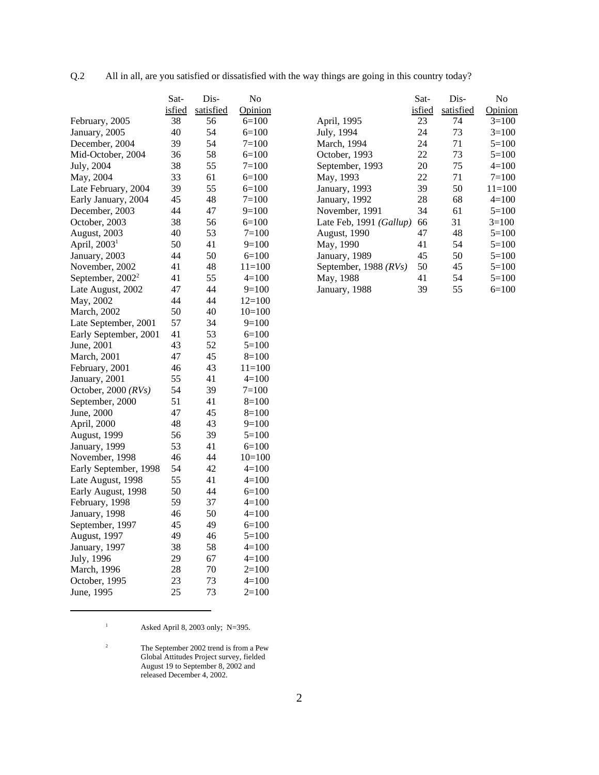| All in all, are you satisfied or dissatisfied with the way things are going in this country today?<br>Q.2 |  |  |
|-----------------------------------------------------------------------------------------------------------|--|--|
|-----------------------------------------------------------------------------------------------------------|--|--|

|                              | Sat-   | Dis-      | No         |
|------------------------------|--------|-----------|------------|
|                              | isfied | satisfied | Opinion    |
| February, 2005               | 38     | 56        | $6=100$    |
| January, 2005                | 40     | 54        | $6=100$    |
| December, 2004               | 39     | 54        | $7 = 100$  |
| Mid-October, 2004            | 36     | 58        | $6=100$    |
| July, 2004                   | 38     | 55        | $7 = 100$  |
| May, 2004                    | 33     | 61        | $6=100$    |
| Late February, 2004          | 39     | 55        | $6=100$    |
| Early January, 2004          | 45     | 48        | $7 = 100$  |
| December, 2003               | 44     | 47        | $9=100$    |
| October, 2003                | 38     | 56        | $6=100$    |
| August, 2003                 | 40     | 53        | $7 = 100$  |
| April, $20031$               | 50     | 41        | $9=100$    |
| January, 2003                | 44     | 50        | $6=100$    |
| November, 2002               | 41     | 48        | $11 = 100$ |
| September, 2002 <sup>2</sup> | 41     | 55        | $4=100$    |
| Late August, 2002            | 47     | 44        | $9=100$    |
| May, 2002                    | 44     | 44        | $12=100$   |
| March, 2002                  | 50     | 40        | $10=100$   |
| Late September, 2001         | 57     | 34        | $9=100$    |
| Early September, 2001        | 41     | 53        | $6=100$    |
| June, 2001                   | 43     | 52        | $5 = 100$  |
| March, 2001                  | 47     | 45        | $8=100$    |
| February, 2001               | 46     | 43        | $11=100$   |
| January, 2001                | 55     | 41        | $4=100$    |
| October, 2000 (RVs)          | 54     | 39        | $7=100$    |
| September, 2000              | 51     | 41        | 8=100      |
| June, 2000                   | 47     | 45        | $8=100$    |
| April, 2000                  | 48     | 43        | $9=100$    |
| August, 1999                 | 56     | 39        | $5 = 100$  |
| January, 1999                | 53     | 41        | 6=100      |
| November, 1998               | 46     | 44        | $10=100$   |
| Early September, 1998        | 54     | 42        | $4 = 100$  |
| Late August, 1998            | 55     | 41        | $4=100$    |
| Early August, 1998           | 50     | 44        | $6 = 100$  |
| February, 1998               | 59     | 37        | $4=100$    |
| January, 1998                | 46     | 50        | $4=100$    |
| September, 1997              | 45     | 49        | $6=100$    |
| August, 1997                 | 49     | 46        | $5=100$    |
| January, 1997                | 38     | 58        | $4=100$    |
| July, 1996                   | 29     | 67        | $4=100$    |
| March, 1996                  | 28     | 70        | $2=100$    |
| October, 1995                | 23     | 73        | $4=100$    |
| June, 1995                   | 25     | 73        | $2=100$    |

|                         | Sat-   | Dis-      | No         |
|-------------------------|--------|-----------|------------|
|                         | isfied | satisfied | Opinion    |
| April, 1995             | 23     | 74        | $3=100$    |
| July, 1994              | 24     | 73        | $3=100$    |
| March, 1994             | 24     | 71        | $5=100$    |
| October, 1993           | 22     | 73        | $5=100$    |
| September, 1993         | 20     | 75        | $4=100$    |
| May, 1993               | 22     | 71        | $7 = 100$  |
| January, 1993           | 39     | 50        | $11 = 100$ |
| January, 1992           | 28     | 68        | $4=100$    |
| November, 1991          | 34     | 61        | $5=100$    |
| Late Feb, 1991 (Gallup) | 66     | 31        | $3=100$    |
| <b>August, 1990</b>     | 47     | 48        | $5=100$    |
| May, 1990               | 41     | 54        | $5=100$    |
| January, 1989           | 45     | 50        | $5=100$    |
| September, 1988 (RVs)   | 50     | 45        | $5=100$    |
| May, 1988               | 41     | 54        | $5=100$    |
| January, 1988           | 39     | 55        | $6=100$    |

<sup>1</sup> Asked April 8, 2003 only; N=395.

 $2<sup>2</sup>$  The September 2002 trend is from a Pew Global Attitudes Project survey, fielded August 19 to September 8, 2002 and released December 4, 2002.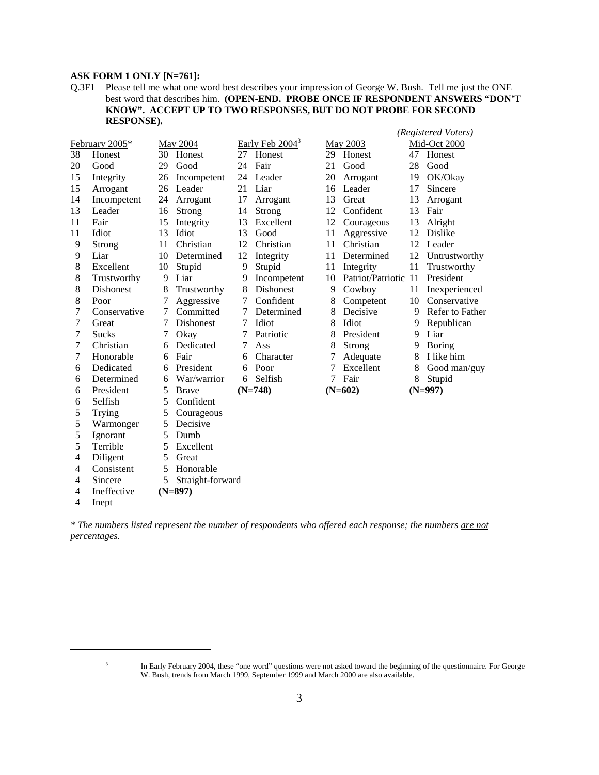# **ASK FORM 1 ONLY [N=761]:**

Q.3F1 Please tell me what one word best describes your impression of George W. Bush. Tell me just the ONE best word that describes him. **(OPEN-END. PROBE ONCE IF RESPONDENT ANSWERS "DON'T KNOW". ACCEPT UP TO TWO RESPONSES, BUT DO NOT PROBE FOR SECOND RESPONSE).**

*(Registered Voters)*

|                | February 2005*   |    | May 2004         |    | Early Feb $2004^3$ |    | May 2003             |    | Mid-Oct 2000    |
|----------------|------------------|----|------------------|----|--------------------|----|----------------------|----|-----------------|
| 38             | Honest           |    | 30 Honest        |    | 27 Honest          | 29 | Honest               |    | 47 Honest       |
| 20             | Good             | 29 | Good             | 24 | Fair               | 21 | Good                 | 28 | Good            |
| 15             | Integrity        | 26 | Incompetent      | 24 | Leader             | 20 | Arrogant             | 19 | OK/Okay         |
| 15             | Arrogant         | 26 | Leader           | 21 | Liar               | 16 | Leader               | 17 | Sincere         |
| 14             | Incompetent      | 24 | Arrogant         | 17 | Arrogant           | 13 | Great                | 13 | Arrogant        |
| 13             | Leader           | 16 | Strong           | 14 | Strong             | 12 | Confident            | 13 | Fair            |
| 11             | Fair             | 15 | Integrity        | 13 | Excellent          | 12 | Courageous           | 13 | Alright         |
| 11             | Idiot            | 13 | Idiot            | 13 | Good               | 11 | Aggressive           | 12 | Dislike         |
| 9              | Strong           | 11 | Christian        | 12 | Christian          | 11 | Christian            | 12 | Leader          |
| 9              | Liar             | 10 | Determined       | 12 | Integrity          | 11 | Determined           | 12 | Untrustworthy   |
| 8              | Excellent        | 10 | Stupid           | 9  | Stupid             | 11 | Integrity            | 11 | Trustworthy     |
| 8              | Trustworthy      | 9  | Liar             | 9  | Incompetent        | 10 | Patriot/Patriotic 11 |    | President       |
| 8              | <b>Dishonest</b> | 8  | Trustworthy      | 8  | <b>Dishonest</b>   | 9  | Cowboy               | 11 | Inexperienced   |
| 8              | Poor             | 7  | Aggressive       | 7  | Confident          | 8  | Competent            | 10 | Conservative    |
| 7              | Conservative     | 7  | Committed        |    | Determined         | 8  | Decisive             | 9  | Refer to Father |
| 7              | Great            | 7  | Dishonest        | 7  | Idiot              | 8  | Idiot                | 9  | Republican      |
| 7              | <b>Sucks</b>     | 7  | Okay             | 7  | Patriotic          | 8  | President            | 9  | Liar            |
| 7              | Christian        | 6  | Dedicated        | 7  | Ass                | 8  | Strong               | 9  | <b>Boring</b>   |
| 7              | Honorable        | 6  | Fair             | 6  | Character          | 7  | Adequate             | 8  | I like him      |
| 6              | Dedicated        | 6  | President        | 6  | Poor               | 7  | Excellent            | 8  | Good man/guy    |
| 6              | Determined       | 6  | War/warrior      | 6  | Selfish            | 7  | Fair                 | 8  | Stupid          |
| 6              | President        | 5  | <b>Brave</b>     |    | $(N=748)$          |    | $(N=602)$            |    | $(N=997)$       |
| 6              | Selfish          | 5  | Confident        |    |                    |    |                      |    |                 |
| 5              | Trying           | 5  | Courageous       |    |                    |    |                      |    |                 |
| 5              | Warmonger        | 5  | Decisive         |    |                    |    |                      |    |                 |
| 5              | Ignorant         | 5  | Dumb             |    |                    |    |                      |    |                 |
| 5              | Terrible         | 5  | Excellent        |    |                    |    |                      |    |                 |
| $\overline{4}$ | Diligent         | 5  | Great            |    |                    |    |                      |    |                 |
| 4              | Consistent       | 5  | Honorable        |    |                    |    |                      |    |                 |
| 4              | Sincere          | 5  | Straight-forward |    |                    |    |                      |    |                 |
| 4              | Ineffective      |    | $(N=897)$        |    |                    |    |                      |    |                 |
| 4              | Inept            |    |                  |    |                    |    |                      |    |                 |

*\* The numbers listed represent the number of respondents who offered each response; the numbers are not percentages.*

<sup>&</sup>lt;sup>3</sup> In Early February 2004, these "one word" questions were not asked toward the beginning of the questionnaire. For George W. Bush, trends from March 1999, September 1999 and March 2000 are also available.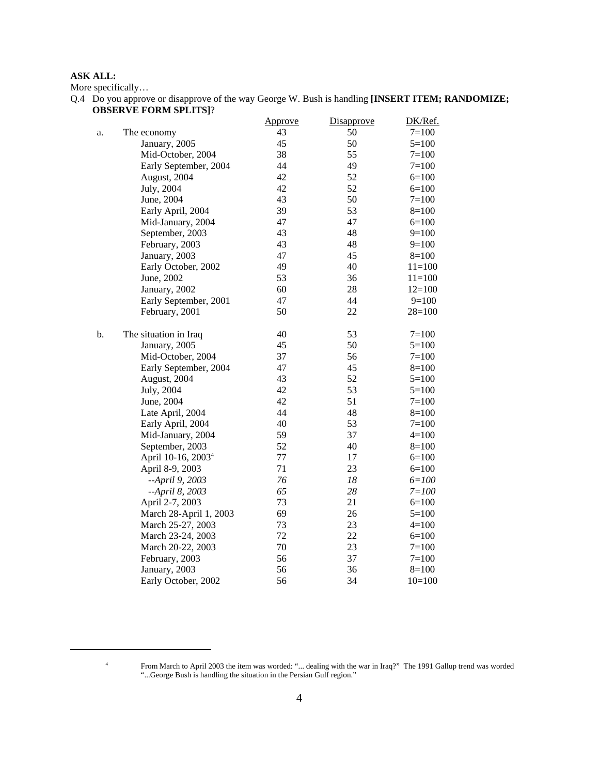# **ASK ALL:**

More specifically…

Q.4 Do you approve or disapprove of the way George W. Bush is handling **[INSERT ITEM; RANDOMIZE; OBSERVE FORM SPLITS]**?

|    |                                | <b>Approve</b> | Disapprove | DK/Ref.   |
|----|--------------------------------|----------------|------------|-----------|
| a. | The economy                    | 43             | 50         | $7 = 100$ |
|    | January, 2005                  | 45             | 50         | $5=100$   |
|    | Mid-October, 2004              | 38             | 55         | $7 = 100$ |
|    | Early September, 2004          | 44             | 49         | $7 = 100$ |
|    | August, 2004                   | 42             | 52         | $6=100$   |
|    | July, 2004                     | 42             | 52         | $6=100$   |
|    | June, 2004                     | 43             | 50         | $7 = 100$ |
|    | Early April, 2004              | 39             | 53         | $8=100$   |
|    | Mid-January, 2004              | 47             | 47         | $6=100$   |
|    | September, 2003                | 43             | 48         | $9=100$   |
|    | February, 2003                 | 43             | 48         | $9=100$   |
|    | January, 2003                  | 47             | 45         | $8=100$   |
|    | Early October, 2002            | 49             | 40         | $11=100$  |
|    | June, 2002                     | 53             | 36         | $11=100$  |
|    | January, 2002                  | 60             | 28         | $12=100$  |
|    | Early September, 2001          | 47             | 44         | $9=100$   |
|    | February, 2001                 | 50             | 22         | $28=100$  |
| b. | The situation in Iraq          | 40             | 53         | $7 = 100$ |
|    | January, 2005                  | 45             | 50         | $5=100$   |
|    | Mid-October, 2004              | 37             | 56         | $7=100$   |
|    | Early September, 2004          | 47             | 45         | $8=100$   |
|    | August, 2004                   | 43             | 52         | $5=100$   |
|    | July, 2004                     | 42             | 53         | $5 = 100$ |
|    | June, 2004                     | 42             | 51         | $7 = 100$ |
|    | Late April, 2004               | 44             | 48         | $8=100$   |
|    | Early April, 2004              | 40             | 53         | $7=100$   |
|    | Mid-January, 2004              | 59             | 37         | $4=100$   |
|    | September, 2003                | 52             | 40         | $8=100$   |
|    | April 10-16, 2003 <sup>4</sup> | 77             | 17         | $6=100$   |
|    | April 8-9, 2003                | 71             | 23         | $6=100$   |
|    | --April 9, 2003                | 76             | 18         | $6 = 100$ |
|    | --April 8, 2003                | 65             | 28         | $7 = 100$ |
|    | April 2-7, 2003                | 73             | 21         | $6=100$   |
|    | March 28-April 1, 2003         | 69             | 26         | $5=100$   |
|    | March 25-27, 2003              | 73             | 23         | $4=100$   |
|    | March 23-24, 2003              | 72             | 22         | $6=100$   |
|    | March 20-22, 2003              | 70             | 23         | $7 = 100$ |
|    | February, 2003                 | 56             | 37         | $7 = 100$ |
|    | January, 2003                  | 56             | 36         | $8=100$   |
|    | Early October, 2002            | 56             | 34         | $10=100$  |

<sup>4</sup> From March to April 2003 the item was worded: "... dealing with the war in Iraq?" The 1991 Gallup trend was worded "...George Bush is handling the situation in the Persian Gulf region."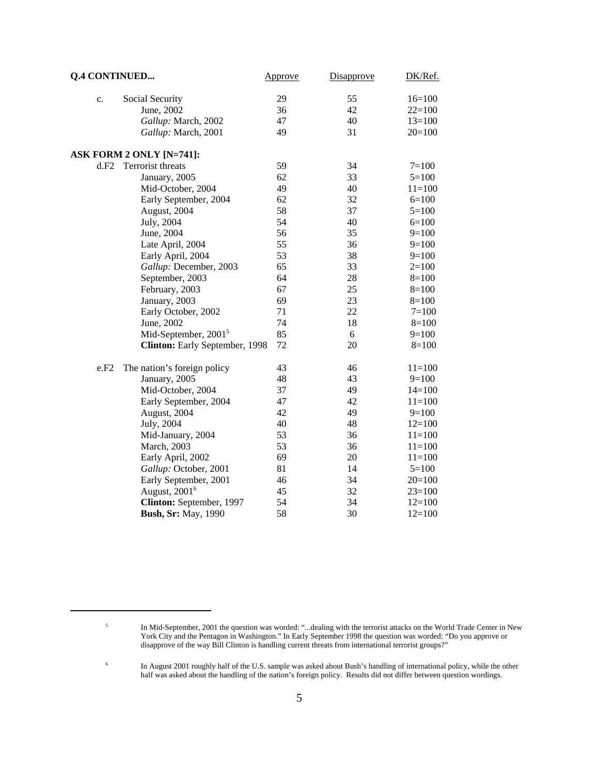| <b>Q.4 CONTINUED</b> |                                  | Approve | Disapprove | DK/Ref.    |
|----------------------|----------------------------------|---------|------------|------------|
| c.                   | Social Security                  | 29      | 55         | $16=100$   |
|                      | June, 2002                       | 36      | 42         | $22=100$   |
|                      | Gallup: March, 2002              | 47      | 40         | $13=100$   |
|                      | Gallup: March, 2001              | 49      | 31         | $20=100$   |
|                      | ASK FORM 2 ONLY [N=741]:         |         |            |            |
| d.F2                 | Terrorist threats                | 59      | 34         | $7 = 100$  |
|                      | January, 2005                    | 62      | 33         | $5=100$    |
|                      | Mid-October, 2004                | 49      | 40         | $11=100$   |
|                      | Early September, 2004            | 62      | 32         | $6=100$    |
|                      | August, 2004                     | 58      | 37         | $5=100$    |
|                      | July, 2004                       | 54      | 40         | $6=100$    |
|                      | June, 2004                       | 56      | 35         | $9=100$    |
|                      | Late April, 2004                 | 55      | 36         | $9=100$    |
|                      | Early April, 2004                | 53      | 38         | $9=100$    |
|                      | Gallup: December, 2003           | 65      | 33         | $2=100$    |
|                      | September, 2003                  | 64      | 28         | $8=100$    |
|                      | February, 2003                   | 67      | 25         | $8=100$    |
|                      | January, 2003                    | 69      | 23         | $8=100$    |
|                      | Early October, 2002              | 71      | 22         | $7 = 100$  |
|                      | June, 2002                       | 74      | 18         | $8=100$    |
|                      | Mid-September, 2001 <sup>5</sup> | 85      | 6          | $9=100$    |
|                      | Clinton: Early September, 1998   | 72      | 20         | $8=100$    |
| e.F2                 | The nation's foreign policy      | 43      | 46         | $11 = 100$ |
|                      | January, 2005                    | 48      | 43         | $9=100$    |
|                      | Mid-October, 2004                | 37      | 49         | $14=100$   |
|                      | Early September, 2004            | 47      | 42         | $11=100$   |
|                      | August, 2004                     | 42      | 49         | $9=100$    |
|                      | July, 2004                       | 40      | 48         | $12=100$   |
|                      | Mid-January, 2004                | 53      | 36         | $11=100$   |
|                      | March, 2003                      | 53      | 36         | $11=100$   |
|                      | Early April, 2002                | 69      | 20         | $11=100$   |
|                      | Gallup: October, 2001            | 81      | 14         | $5=100$    |
|                      | Early September, 2001            | 46      | 34         | $20=100$   |
|                      | August, 2001 <sup>6</sup>        | 45      | 32         | $23=100$   |
|                      | Clinton: September, 1997         | 54      | 34         | $12=100$   |
|                      | <b>Bush, Sr: May, 1990</b>       | 58      | 30         | $12=100$   |

<sup>&</sup>lt;sup>5</sup> In Mid-September, 2001 the question was worded: "...dealing with the terrorist attacks on the World Trade Center in New York City and the Pentagon in Washington." In Early September 1998 the question was worded: "Do you approve or disapprove of the way Bill Clinton is handling current threats from international terrorist groups?"

<sup>&</sup>lt;sup>6</sup> In August 2001 roughly half of the U.S. sample was asked about Bush's handling of international policy, while the other half was asked about the handling of the nation's foreign policy. Results did not differ between question wordings.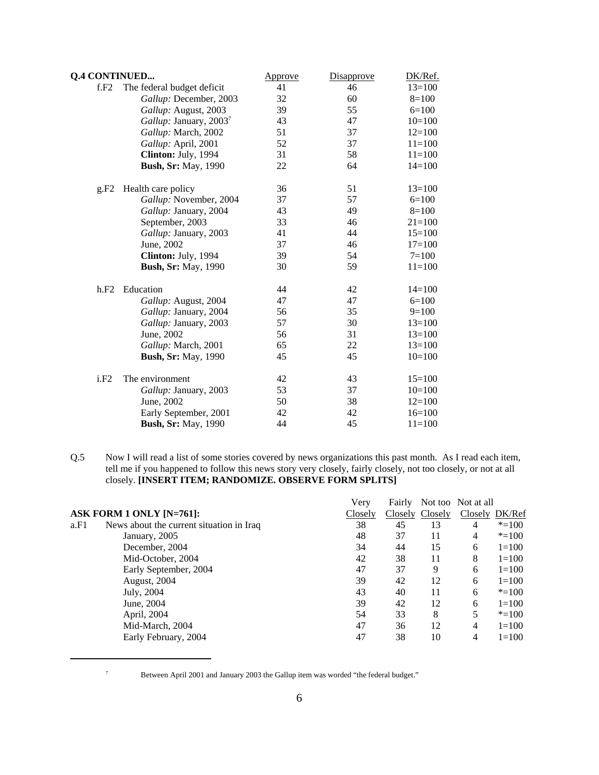| <b>Q.4 CONTINUED</b> |                                    | <u>Approve</u> | Disapprove | DK/Ref.    |
|----------------------|------------------------------------|----------------|------------|------------|
| f.F2                 | The federal budget deficit         | 41             | 46         | $13=100$   |
|                      | Gallup: December, 2003             | 32             | 60         | $8=100$    |
|                      | Gallup: August, 2003               | 39             | 55         | $6=100$    |
|                      | Gallup: January, 2003 <sup>7</sup> | 43             | 47         | $10=100$   |
|                      | Gallup: March, 2002                | 51             | 37         | $12=100$   |
|                      | Gallup: April, 2001                | 52             | 37         | $11=100$   |
|                      | Clinton: July, 1994                | 31             | 58         | $11=100$   |
|                      | <b>Bush, Sr: May, 1990</b>         | 22             | 64         | $14=100$   |
| g.F2                 | Health care policy                 | 36             | 51         | $13=100$   |
|                      | Gallup: November, 2004             | 37             | 57         | $6=100$    |
|                      | Gallup: January, 2004              | 43             | 49         | $8=100$    |
|                      | September, 2003                    | 33             | 46         | $21 = 100$ |
|                      | Gallup: January, 2003              | 41             | 44         | $15=100$   |
|                      | June, 2002                         | 37             | 46         | $17=100$   |
|                      | Clinton: July, 1994                | 39             | 54         | $7 = 100$  |
|                      | <b>Bush, Sr: May, 1990</b>         | 30             | 59         | $11=100$   |
| h.F2                 | Education                          | 44             | 42         | $14=100$   |
|                      | Gallup: August, 2004               | 47             | 47         | $6=100$    |
|                      | Gallup: January, 2004              | 56             | 35         | $9=100$    |
|                      | Gallup: January, 2003              | 57             | 30         | $13=100$   |
|                      | June, 2002                         | 56             | 31         | $13=100$   |
|                      | Gallup: March, 2001                | 65             | 22         | $13=100$   |
|                      | <b>Bush, Sr: May, 1990</b>         | 45             | 45         | $10=100$   |
| i.F2                 | The environment                    | 42             | 43         | $15=100$   |
|                      | Gallup: January, 2003              | 53             | 37         | $10=100$   |
|                      | June, 2002                         | 50             | 38         | $12=100$   |
|                      | Early September, 2001              | 42             | 42         | $16=100$   |
|                      | <b>Bush, Sr: May, 1990</b>         | 44             | 45         | $11 = 100$ |
|                      |                                    |                |            |            |

Q.5 Now I will read a list of some stories covered by news organizations this past month. As I read each item, tell me if you happened to follow this news story very closely, fairly closely, not too closely, or not at all closely. **[INSERT ITEM; RANDOMIZE. OBSERVE FORM SPLITS]**

|                                                  | Very    | Fairly |                 | Not too Not at all |           |
|--------------------------------------------------|---------|--------|-----------------|--------------------|-----------|
| ASK FORM 1 ONLY $[N=761]$ :                      | Closely |        | Closely Closely | Closely DK/Ref     |           |
| News about the current situation in Iraq<br>a.F1 | 38      | 45     | 13              | 4                  | $* = 100$ |
| January, 2005                                    | 48      | 37     | 11              | 4                  | $* = 100$ |
| December, 2004                                   | 34      | 44     | 15              | 6                  | $1=100$   |
| Mid-October, 2004                                | 42      | 38     | 11              | 8                  | $1 = 100$ |
| Early September, 2004                            | 47      | 37     | 9               | 6                  | $1 = 100$ |
| August, 2004                                     | 39      | 42     | 12              | 6                  | $1 = 100$ |
| July, 2004                                       | 43      | 40     | 11              | 6                  | $* = 100$ |
| June, 2004                                       | 39      | 42     | 12              | 6                  | $1 = 100$ |
| April, 2004                                      | 54      | 33     | 8               | 5                  | $* = 100$ |
| Mid-March, 2004                                  | 47      | 36     | 12              | 4                  | $1 = 100$ |
| Early February, 2004                             | 47      | 38     | 10              | 4                  | $1 = 100$ |

<sup>7</sup> Between April 2001 and January 2003 the Gallup item was worded "the federal budget."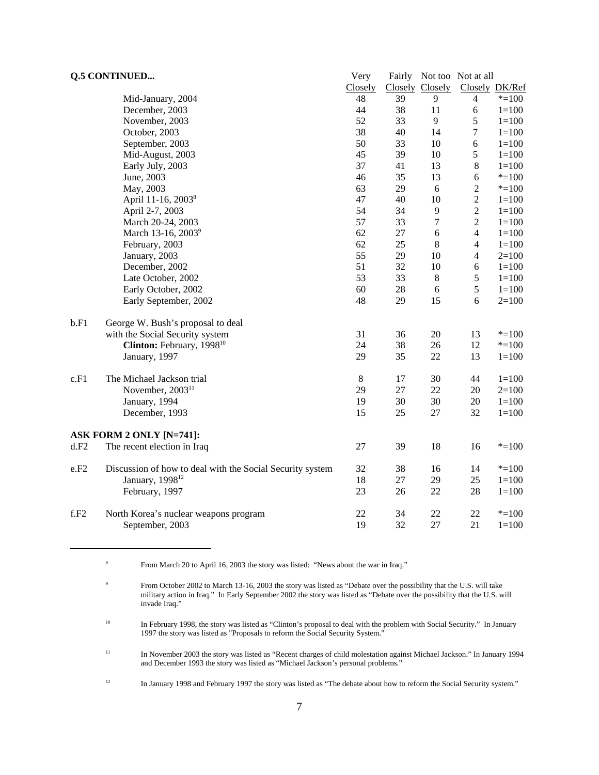| <b>Q.5 CONTINUED</b> |                                                           | Very    |        |                 | Fairly Not too Not at all |           |
|----------------------|-----------------------------------------------------------|---------|--------|-----------------|---------------------------|-----------|
|                      |                                                           | Closely |        | Closely Closely | Closely DK/Ref            |           |
|                      | Mid-January, 2004                                         | 48      | 39     | 9               | $\overline{4}$            | $* = 100$ |
|                      | December, 2003                                            | 44      | 38     | 11              | 6                         | $1 = 100$ |
|                      | November, 2003                                            | 52      | 33     | 9               | 5                         | $1 = 100$ |
|                      | October, 2003                                             | 38      | 40     | 14              | $\boldsymbol{7}$          | $1 = 100$ |
|                      | September, 2003                                           | 50      | 33     | 10              | $\epsilon$                | $1 = 100$ |
|                      | Mid-August, 2003                                          | 45      | 39     | 10              | $\mathfrak s$             | $1 = 100$ |
|                      | Early July, 2003                                          | 37      | 41     | 13              | $\,8\,$                   | $1 = 100$ |
|                      | June, 2003                                                | 46      | 35     | 13              | $\sqrt{6}$                | $* = 100$ |
|                      | May, 2003                                                 | 63      | 29     | 6               | $\boldsymbol{2}$          | $* = 100$ |
|                      | April 11-16, 2003 <sup>8</sup>                            | 47      | 40     | 10              | $\overline{c}$            | $1 = 100$ |
|                      | April 2-7, 2003                                           | 54      | 34     | 9               | $\sqrt{2}$                | $1 = 100$ |
|                      | March 20-24, 2003                                         | 57      | 33     | $\tau$          | $\sqrt{2}$                | $1 = 100$ |
|                      | March 13-16, 2003 <sup>9</sup>                            | 62      | $27\,$ | 6               | $\overline{\mathcal{A}}$  | $1 = 100$ |
|                      | February, 2003                                            | 62      | 25     | 8               | $\overline{4}$            | $1 = 100$ |
|                      | January, 2003                                             | 55      | 29     | 10              | $\overline{4}$            | $2=100$   |
|                      | December, 2002                                            | 51      | 32     | 10              | 6                         | $1 = 100$ |
|                      | Late October, 2002                                        | 53      | 33     | $\,8\,$         | $\sqrt{5}$                | $1 = 100$ |
|                      | Early October, 2002                                       | 60      | 28     | 6               | $\sqrt{5}$                | $1 = 100$ |
|                      | Early September, 2002                                     | 48      | 29     | 15              | 6                         | $2=100$   |
| b.F1                 | George W. Bush's proposal to deal                         |         |        |                 |                           |           |
|                      | with the Social Security system                           | 31      | 36     | 20              | 13                        | $* = 100$ |
|                      | Clinton: February, 1998 <sup>10</sup>                     | 24      | 38     | 26              | 12                        | $* = 100$ |
|                      | January, 1997                                             | 29      | 35     | 22              | 13                        | $1 = 100$ |
| c.F1                 | The Michael Jackson trial                                 | $8\,$   | 17     | 30              | 44                        | $1 = 100$ |
|                      | November, 2003 <sup>11</sup>                              | 29      | 27     | 22              | 20                        | $2=100$   |
|                      | January, 1994                                             | 19      | 30     | 30              | 20                        | $1 = 100$ |
|                      | December, 1993                                            | 15      | 25     | 27              | 32                        | $1 = 100$ |
|                      | ASK FORM 2 ONLY [N=741]:                                  |         |        |                 |                           |           |
| d.F2                 | The recent election in Iraq                               | 27      | 39     | 18              | 16                        | $* = 100$ |
| e.F2                 | Discussion of how to deal with the Social Security system | 32      | 38     | 16              | 14                        | $* = 100$ |
|                      | January, 1998 <sup>12</sup>                               | 18      | 27     | 29              | 25                        | $1 = 100$ |
|                      | February, 1997                                            | 23      | 26     | 22              | 28                        | $1 = 100$ |
| f.F2                 | North Korea's nuclear weapons program                     | 22      | 34     | 22              | 22                        | $* = 100$ |
|                      | September, 2003                                           | 19      | 32     | 27              | 21                        | $1 = 100$ |

<sup>8</sup> From March 20 to April 16, 2003 the story was listed: "News about the war in Iraq."

<sup>10</sup> In February 1998, the story was listed as "Clinton's proposal to deal with the problem with Social Security." In January 1997 the story was listed as "Proposals to reform the Social Security System."

- <sup>11</sup> In November 2003 the story was listed as "Recent charges of child molestation against Michael Jackson." In January 1994 and December 1993 the story was listed as "Michael Jackson's personal problems."
- <sup>12</sup> In January 1998 and February 1997 the story was listed as "The debate about how to reform the Social Security system."

<sup>&</sup>lt;sup>9</sup> From October 2002 to March 13-16, 2003 the story was listed as "Debate over the possibility that the U.S. will take military action in Iraq." In Early September 2002 the story was listed as "Debate over the possibility that the U.S. will invade Iraq."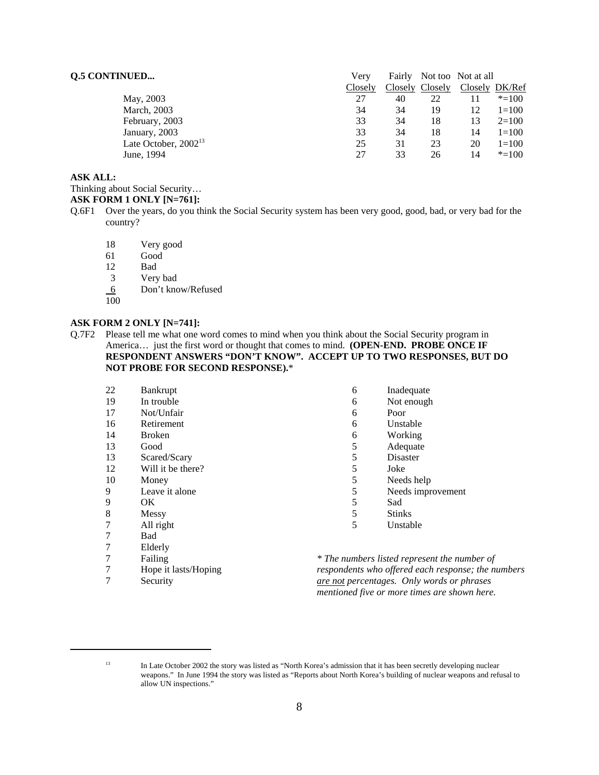# **Q.5 CONTINUED...** Very Fairly Not too Not at all

|                           | Closely |    | Closely Closely |    | Closely DK/Ref |
|---------------------------|---------|----|-----------------|----|----------------|
| May, 2003                 | 27      | 40 | 22              |    | $* = 100$      |
| March, 2003               | 34      | 34 | 19              | 12 | $1=100$        |
| February, 2003            | 33      | 34 | 18              | 13 | $2=100$        |
| January, 2003             | 33      | 34 | 18              | 14 | $1=100$        |
| Late October, $2002^{13}$ | 25      | 31 | 23              | 20 | $1=100$        |
| June, 1994                | 27      | 33 | 26              | 14 | $* = 100$      |
|                           |         |    |                 |    |                |

# **ASK ALL:**

Thinking about Social Security…

# **ASK FORM 1 ONLY [N=761]:**

- Q.6F1 Over the years, do you think the Social Security system has been very good, good, bad, or very bad for the country?
	- 18 Very good
	- 61 Good
	- 12 Bad
	- 3 Very bad
	- 6 Don't know/Refused

7 Hope it lasts/Hoping<br>7 Security **Security** 

100

## **ASK FORM 2 ONLY [N=741]:**

Q.7F2 Please tell me what one word comes to mind when you think about the Social Security program in America… just the first word or thought that comes to mind. **(OPEN-END. PROBE ONCE IF RESPONDENT ANSWERS "DON'T KNOW". ACCEPT UP TO TWO RESPONSES, BUT DO NOT PROBE FOR SECOND RESPONSE).**\*

| 22 | <b>Bankrupt</b>   | 6 | Inadequate                             |
|----|-------------------|---|----------------------------------------|
| 19 | In trouble        | 6 | Not enough                             |
| 17 | Not/Unfair        | 6 | Poor                                   |
| 16 | Retirement        | 6 | Unstable                               |
| 14 | <b>Broken</b>     | 6 | Working                                |
| 13 | Good              | 5 | Adequate                               |
| 13 | Scared/Scary      | 5 | Disaster                               |
| 12 | Will it be there? | 5 | Joke                                   |
| 10 | Money             | 5 | Needs help                             |
| 9  | Leave it alone    | 5 | Needs improvement                      |
| 9  | OK.               | 5 | Sad                                    |
| 8  | Messy             | 5 | <b>Stinks</b>                          |
| 7  | All right         | 5 | Unstable                               |
| 7  | Bad               |   |                                        |
| 7  | Elderly           |   |                                        |
| 7  | Failing           |   | * The numbers listed represent the nur |

*\* The numbers listed represent the number of respondents who offered each response; the numbers are not percentages. Only words or phrases mentioned five or more times are shown here.*

<sup>&</sup>lt;sup>13</sup> In Late October 2002 the story was listed as "North Korea's admission that it has been secretly developing nuclear weapons." In June 1994 the story was listed as "Reports about North Korea's building of nuclear weapons and refusal to allow UN inspections."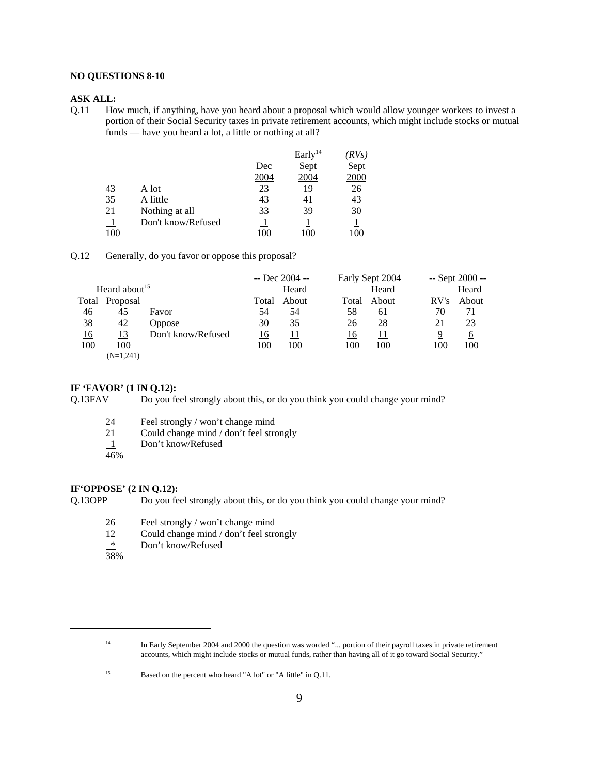### **NO QUESTIONS 8-10**

#### **ASK ALL:**

Q.11 How much, if anything, have you heard about a proposal which would allow younger workers to invest a portion of their Social Security taxes in private retirement accounts, which might include stocks or mutual funds — have you heard a lot, a little or nothing at all?

|     |                    |      | Early $^{14}$ | (RVs) |
|-----|--------------------|------|---------------|-------|
|     |                    | Dec  | Sept          | Sept  |
|     |                    | 2004 | 2004          | 2000  |
| 43  | A lot              | 23   | 19            | 26    |
| 35  | A little           | 43   | 41            | 43    |
| 21  | Nothing at all     | 33   | 39            | 30    |
|     | Don't know/Refused |      |               |       |
| 100 |                    | 100  | 100           | 100   |

Q.12 Generally, do you favor or oppose this proposal?

|            |                           |                    |       | $-$ Dec 2004 $-$ |       | Early Sept 2004 |      | $-$ Sept 2000 $-$ |
|------------|---------------------------|--------------------|-------|------------------|-------|-----------------|------|-------------------|
|            | Heard about <sup>15</sup> |                    |       | Heard            |       | Heard           |      | Heard             |
| Total      | Proposal                  |                    | Total | About            | Total | About           | RV's | About             |
| 46         | 45                        | Favor              | 54    | 54               | 58    | 61              | 70   | 71                |
| 38         | 42                        | <b>Oppose</b>      | 30    | 35               | 26    | 28              | 21   | 23                |
| <u> 16</u> | 13                        | Don't know/Refused | 16    | 11               | 16    | 11              | 9    | $\overline{6}$    |
| 100        | 100                       |                    | 100   | 100              | 100   | 100             | 100  | 100               |
|            | $(N=1,241)$               |                    |       |                  |       |                 |      |                   |

#### **IF 'FAVOR' (1 IN Q.12):**

Q.13FAV Do you feel strongly about this, or do you think you could change your mind?

- 24 Feel strongly / won't change mind
- 21 Could change mind / don't feel strongly
- 1 Don't know/Refused
- 46%

### **IF'OPPOSE' (2 IN Q.12):**

Q.13OPP Do you feel strongly about this, or do you think you could change your mind?

- 26 Feel strongly / won't change mind<br>12 Could change mind / don't feel stro
- $12$  Could change mind / don't feel strongly<br>  $*$  Don't know/Refused
- Don't know/Refused
- 38%

<sup>&</sup>lt;sup>14</sup> In Early September 2004 and 2000 the question was worded "... portion of their payroll taxes in private retirement accounts, which might include stocks or mutual funds, rather than having all of it go toward Social Security."

<sup>&</sup>lt;sup>15</sup> Based on the percent who heard "A lot" or "A little" in Q.11.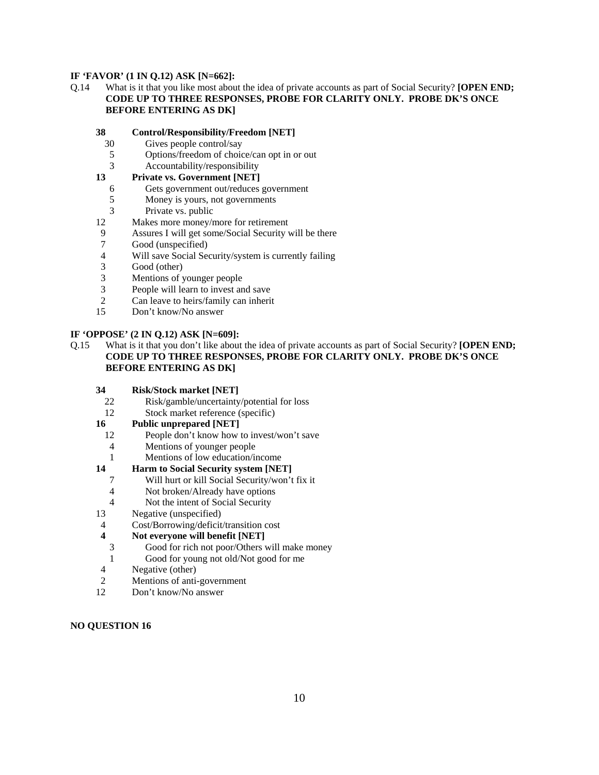## **IF 'FAVOR' (1 IN Q.12) ASK [N=662]:**

Q.14 What is it that you like most about the idea of private accounts as part of Social Security? **[OPEN END; CODE UP TO THREE RESPONSES, PROBE FOR CLARITY ONLY. PROBE DK'S ONCE BEFORE ENTERING AS DK]**

### **38 Control/Responsibility/Freedom [NET]**

- 30 Gives people control/say
- 5 Options/freedom of choice/can opt in or out
- 3 Accountability/responsibility

# **13 Private vs. Government [NET]**

- 6 Gets government out/reduces government
- 5 Money is yours, not governments
- 3 Private vs. public
- 12 Makes more money/more for retirement
- 9 Assures I will get some/Social Security will be there
- 7 Good (unspecified)
- 4 Will save Social Security/system is currently failing
- 3 Good (other)
- 3 Mentions of younger people
- 3 People will learn to invest and save
- 2 Can leave to heirs/family can inherit<br>15 Don't know/No answer
- Don't know/No answer

## **IF 'OPPOSE' (2 IN Q.12) ASK [N=609]:**

- Q.15 What is it that you don't like about the idea of private accounts as part of Social Security? **[OPEN END; CODE UP TO THREE RESPONSES, PROBE FOR CLARITY ONLY. PROBE DK'S ONCE BEFORE ENTERING AS DK]**
	- **34 Risk/Stock market [NET]**
	- 22 Risk/gamble/uncertainty/potential for loss
	- 12 Stock market reference (specific)

#### **16 Public unprepared [NET]**

- 12 People don't know how to invest/won't save
- 4 Mentions of younger people
- 1 Mentions of low education/income
- **14 Harm to Social Security system [NET]**
	- 7 Will hurt or kill Social Security/won't fix it
	- 4 Not broken/Already have options
	- 4 Not the intent of Social Security
- 13 Negative (unspecified)
- 4 Cost/Borrowing/deficit/transition cost

#### **4 Not everyone will benefit [NET]**

- 3 Good for rich not poor/Others will make money
- 1 Good for young not old/Not good for me
- 4 Negative (other)
- 2 Mentions of anti-government
- 12 Don't know/No answer

#### **NO QUESTION 16**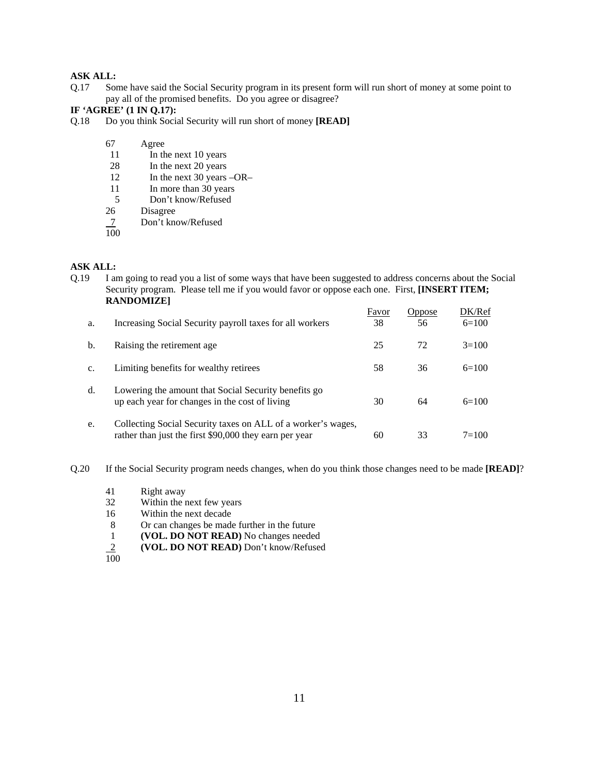# **ASK ALL:**

Q.17 Some have said the Social Security program in its present form will run short of money at some point to pay all of the promised benefits. Do you agree or disagree?

#### **IF 'AGREE' (1 IN Q.17):**

- Q.18 Do you think Social Security will run short of money **[READ]**
	- 67 Agree
		- 11 In the next 10 years
	- 28 In the next 20 years
	- 12 In the next 30 years –OR–
	- 11 In more than 30 years
	- 5 Don't know/Refused<br>26 Disagree
	- Disagree
	- Don't know/Refused  $\frac{7}{100}$
	-

#### **ASK ALL:**

Q.19 I am going to read you a list of some ways that have been suggested to address concerns about the Social Security program. Please tell me if you would favor or oppose each one. First, **[INSERT ITEM; RANDOMIZE]**

| a.             | Increasing Social Security payroll taxes for all workers                                                               | Favor<br>38 | Oppose<br>56 | DK/Ref<br>$6=100$ |
|----------------|------------------------------------------------------------------------------------------------------------------------|-------------|--------------|-------------------|
| b.             | Raising the retirement age.                                                                                            | 25          | 72           | $3=100$           |
| C <sub>1</sub> | Limiting benefits for wealthy retirees                                                                                 | 58          | 36           | $6=100$           |
| d.             | Lowering the amount that Social Security benefits go<br>up each year for changes in the cost of living                 | 30          | 64           | $6=100$           |
| e.             | Collecting Social Security taxes on ALL of a worker's wages,<br>rather than just the first \$90,000 they earn per year | 60          | 33           | $7 = 100$         |

Q.20 If the Social Security program needs changes, when do you think those changes need to be made **[READ]**?

- 41 Right away<br>32 Within the r
- Within the next few years
- 16 Within the next decade
- 8 Or can changes be made further in the future
- 1 **(VOL. DO NOT READ)** No changes needed
- 2 **(VOL. DO NOT READ)** Don't know/Refused
- $\frac{2}{100}$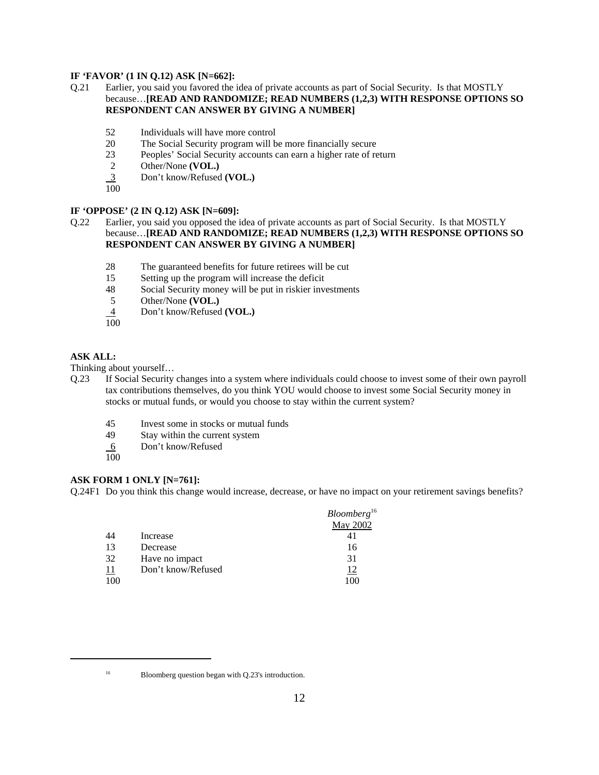# **IF 'FAVOR' (1 IN Q.12) ASK [N=662]:**

## Q.21 Earlier, you said you favored the idea of private accounts as part of Social Security. Is that MOSTLY because…**[READ AND RANDOMIZE; READ NUMBERS (1,2,3) WITH RESPONSE OPTIONS SO RESPONDENT CAN ANSWER BY GIVING A NUMBER]**

- 52 Individuals will have more control
- 20 The Social Security program will be more financially secure
- 23 Peoples' Social Security accounts can earn a higher rate of return
- 2 Other/None **(VOL.)**<br>3 Don't know/Refused
- 3 Don't know/Refused **(VOL.)**
- 100

#### **IF 'OPPOSE' (2 IN Q.12) ASK [N=609]:**

## Q.22 Earlier, you said you opposed the idea of private accounts as part of Social Security. Is that MOSTLY because…**[READ AND RANDOMIZE; READ NUMBERS (1,2,3) WITH RESPONSE OPTIONS SO RESPONDENT CAN ANSWER BY GIVING A NUMBER]**

- 28 The guaranteed benefits for future retirees will be cut
- 15 Setting up the program will increase the deficit
- 48 Social Security money will be put in riskier investments
- 5 Other/None **(VOL.)**
- 4 Don't know/Refused **(VOL.)**
- 100

# **ASK ALL:**

Thinking about yourself…

- Q.23 If Social Security changes into a system where individuals could choose to invest some of their own payroll tax contributions themselves, do you think YOU would choose to invest some Social Security money in stocks or mutual funds, or would you choose to stay within the current system?
	- 45 Invest some in stocks or mutual funds
	- 49 Stay within the current system
	- 6 Don't know/Refused
	- 100

#### **ASK FORM 1 ONLY [N=761]:**

Q.24F1 Do you think this change would increase, decrease, or have no impact on your retirement savings benefits?

|            |                    | Bloomberg <sup>16</sup> |
|------------|--------------------|-------------------------|
|            |                    | May 2002                |
| 44         | Increase           | 41                      |
| 13         | Decrease           | 16                      |
| 32         | Have no impact     | 31                      |
| <u> 11</u> | Don't know/Refused | <u>12</u>               |
| 100        |                    | 100                     |

<sup>&</sup>lt;sup>16</sup> Bloomberg question began with Q.23's introduction.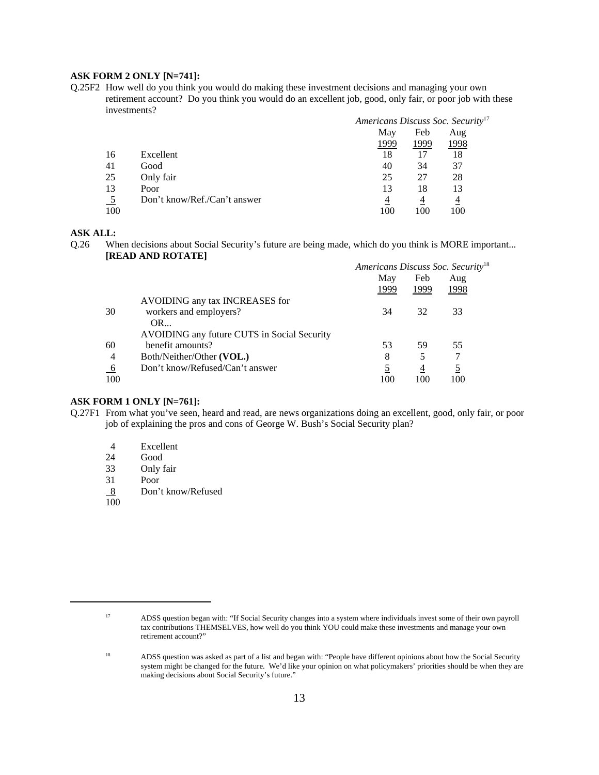## **ASK FORM 2 ONLY [N=741]:**

Q.25F2 How well do you think you would do making these investment decisions and managing your own retirement account? Do you think you would do an excellent job, good, only fair, or poor job with these investments?

|           |                              | Americans Discuss Soc. Security <sup>17</sup> |      |                |  |
|-----------|------------------------------|-----------------------------------------------|------|----------------|--|
|           |                              | May                                           | Feb  | Aug            |  |
|           |                              | 1999                                          | 1999 | 1998           |  |
| 16        | Excellent                    | 18                                            |      | 18             |  |
| 41        | Good                         | 40                                            | 34   | 37             |  |
| 25        | Only fair                    | 25                                            | 27   | 28             |  |
| 13        | Poor                         | 13                                            | 18   | 13             |  |
| <u>_5</u> | Don't know/Ref./Can't answer | 4                                             | 4    | $\overline{4}$ |  |
| 100       |                              | 100                                           | 100  | 100            |  |

# **ASK ALL:**

Q.26 When decisions about Social Security's future are being made, which do you think is MORE important... **[READ AND ROTATE]**

|                 |                                             | Americans Discuss Soc. Security <sup>18</sup> |      |      |  |
|-----------------|---------------------------------------------|-----------------------------------------------|------|------|--|
|                 |                                             | May                                           | Feb  | Aug  |  |
|                 |                                             | 1999                                          | 1999 | 1998 |  |
|                 | AVOIDING any tax INCREASES for              |                                               |      |      |  |
| 30              | workers and employers?                      | 34                                            | 32   | 33   |  |
|                 | OR                                          |                                               |      |      |  |
|                 | AVOIDING any future CUTS in Social Security |                                               |      |      |  |
| 60              | benefit amounts?                            | 53                                            | 59   | 55   |  |
| $\overline{4}$  | Both/Neither/Other (VOL.)                   | 8                                             | 5    |      |  |
| $\underline{6}$ | Don't know/Refused/Can't answer             |                                               | 4    |      |  |
| 100             |                                             | 100                                           | 100  | 100  |  |

#### **ASK FORM 1 ONLY [N=761]:**

- Q.27F1 From what you've seen, heard and read, are news organizations doing an excellent, good, only fair, or poor job of explaining the pros and cons of George W. Bush's Social Security plan?
	- 4 Excellent<br>24 Good
	- Good
	- 33 Only fair
	- 31 Poor
	- 8 Don't know/Refused

100

<sup>17</sup> ADSS question began with: "If Social Security changes into a system where individuals invest some of their own payroll tax contributions THEMSELVES, how well do you think YOU could make these investments and manage your own retirement account?"

<sup>&</sup>lt;sup>18</sup> ADSS question was asked as part of a list and began with: "People have different opinions about how the Social Security system might be changed for the future. We'd like your opinion on what policymakers' priorities should be when they are making decisions about Social Security's future."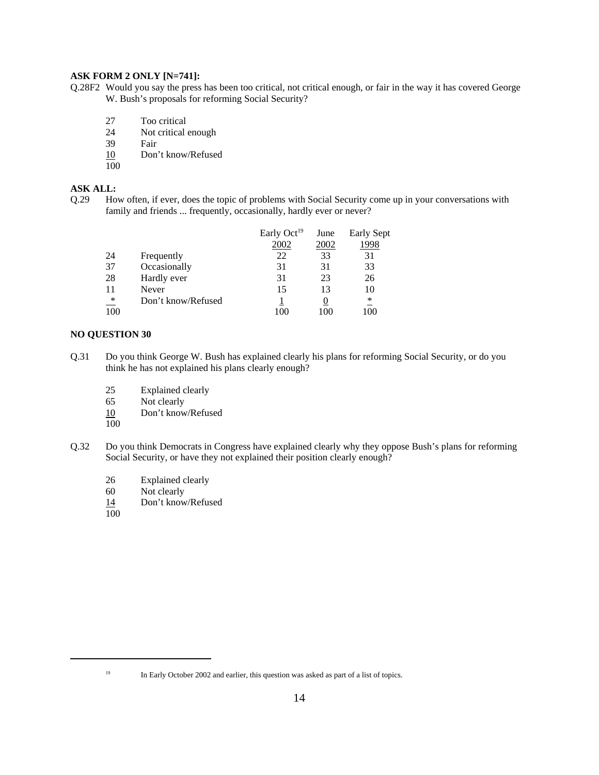# **ASK FORM 2 ONLY [N=741]:**

- Q.28F2 Would you say the press has been too critical, not critical enough, or fair in the way it has covered George W. Bush's proposals for reforming Social Security?
	- 27 Too critical
	- 24 Not critical enough<br>39 Fair
	- Fair
	- 10 Don't know/Refused
	- 100

# **ASK ALL:**

Q.29 How often, if ever, does the topic of problems with Social Security come up in your conversations with family and friends ... frequently, occasionally, hardly ever or never?

|                 |                    | Early $Oct19$ | June | <b>Early Sept</b> |
|-----------------|--------------------|---------------|------|-------------------|
|                 |                    | 2002          | 2002 | 1998              |
| 24              | Frequently         | 22            | 33   | 31                |
| 37              | Occasionally       | 31            | 31   | 33                |
| 28              | Hardly ever        | 31            | 23   | 26                |
| 11              | Never              | 15            | 13   | 10                |
| $\overline{\ }$ | Don't know/Refused |               |      | ∗                 |
| 100             |                    |               | 10C  |                   |

# **NO QUESTION 30**

- Q.31 Do you think George W. Bush has explained clearly his plans for reforming Social Security, or do you think he has not explained his plans clearly enough?
	- 25 Explained clearly
	- 65 Not clearly
	- 10 Don't know/Refused
	- 100
- Q.32 Do you think Democrats in Congress have explained clearly why they oppose Bush's plans for reforming Social Security, or have they not explained their position clearly enough?
	- 26 Explained clearly
	- 60 Not clearly
	- 14 Don't know/Refused
	- 100

<sup>&</sup>lt;sup>19</sup> In Early October 2002 and earlier, this question was asked as part of a list of topics.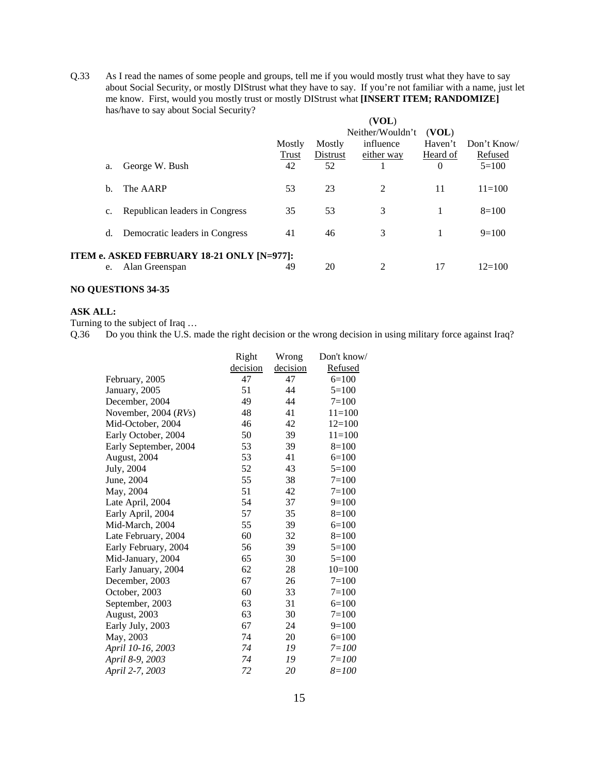Q.33 As I read the names of some people and groups, tell me if you would mostly trust what they have to say about Social Security, or mostly DIStrust what they have to say. If you're not familiar with a name, just let me know. First, would you mostly trust or mostly DIStrust what **[INSERT ITEM; RANDOMIZE]** has/have to say about Social Security?

|    |                                            |        |          | (VOL)            |          |            |
|----|--------------------------------------------|--------|----------|------------------|----------|------------|
|    |                                            |        |          | Neither/Wouldn't | (VOL)    |            |
|    |                                            | Mostly | Mostly   | influence        | Haven't  | Don't Know |
|    |                                            | Trust  | Distrust | either way       | Heard of | Refused    |
| a. | George W. Bush                             | 42     | 52       |                  | $\Omega$ | $5=100$    |
| b. | The AARP                                   | 53     | 23       | 2                | 11       | $11 = 100$ |
| c. | Republican leaders in Congress             | 35     | 53       | 3                |          | $8=100$    |
| d. | Democratic leaders in Congress             | 41     | 46       | 3                |          | $9=100$    |
|    | ITEM e. ASKED FEBRUARY 18-21 ONLY [N=977]: |        |          |                  |          |            |
| e. | Alan Greenspan                             | 49     | 20       | 2                | 17       | $12=100$   |

### **NO QUESTIONS 34-35**

#### **ASK ALL:**

Turning to the subject of Iraq …

Q.36 Do you think the U.S. made the right decision or the wrong decision in using military force against Iraq?

|                        | Right    | Wrong    | Don't know/ |
|------------------------|----------|----------|-------------|
|                        | decision | decision | Refused     |
| February, 2005         | 47       | 47       | $6=100$     |
| January, 2005          | 51       | 44       | $5=100$     |
| December, 2004         | 49       | 44       | $7 = 100$   |
| November, 2004 $(RVs)$ | 48       | 41       | $11 = 100$  |
| Mid-October, 2004      | 46       | 42       | $12=100$    |
| Early October, 2004    | 50       | 39       | $11 = 100$  |
| Early September, 2004  | 53       | 39       | $8=100$     |
| August, 2004           | 53       | 41       | $6=100$     |
| July, 2004             | 52       | 43       | $5=100$     |
| June, 2004             | 55       | 38       | $7 = 100$   |
| May, 2004              | 51       | 42       | $7 = 100$   |
| Late April, 2004       | 54       | 37       | $9=100$     |
| Early April, 2004      | 57       | 35       | $8=100$     |
| Mid-March, 2004        | 55       | 39       | $6=100$     |
| Late February, 2004    | 60       | 32       | $8 = 100$   |
| Early February, 2004   | 56       | 39       | $5=100$     |
| Mid-January, 2004      | 65       | 30       | $5=100$     |
| Early January, 2004    | 62       | 28       | $10=100$    |
| December, 2003         | 67       | 26       | $7 = 100$   |
| October, 2003          | 60       | 33       | $7 = 100$   |
| September, 2003        | 63       | 31       | $6=100$     |
| August, 2003           | 63       | 30       | $7 = 100$   |
| Early July, 2003       | 67       | 24       | $9=100$     |
| May, 2003              | 74       | 20       | $6=100$     |
| April 10-16, 2003      | 74       | 19       | $7 = 100$   |
| April 8-9, 2003        | 74       | 19       | $7 = 100$   |
| April 2-7, 2003        | 72       | 20       | $8 = 100$   |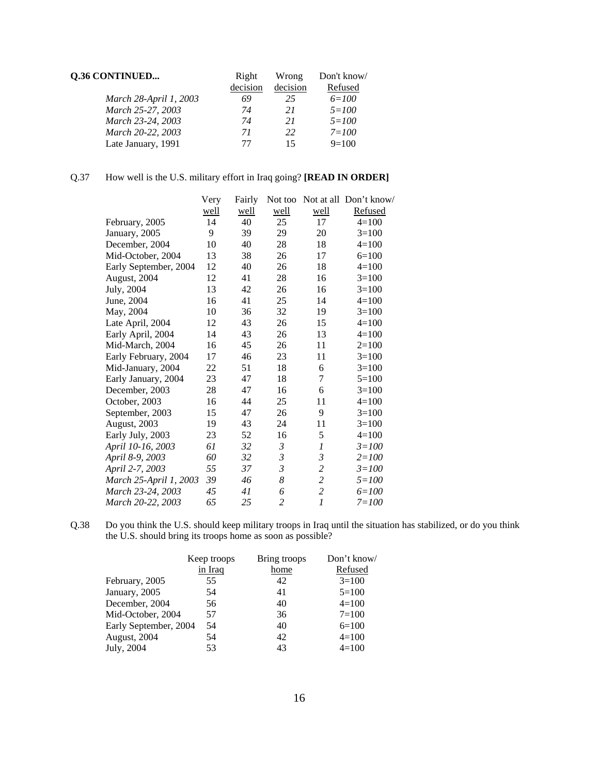| Q.36 CONTINUED         | Right    | Wrong    | Don't know/ |
|------------------------|----------|----------|-------------|
|                        | decision | decision | Refused     |
| March 28-April 1, 2003 | 69       | 25       | $6 = 100$   |
| March 25-27, 2003      | 74       | 21       | $5 = 100$   |
| March 23-24, 2003      | 74       | 21       | $5 = 100$   |
| March 20-22, 2003      | 71       | 22       | $7 = 100$   |
| Late January, 1991     | 77       | 15       | $9=100$     |

# Q.37 How well is the U.S. military effort in Iraq going? **[READ IN ORDER]**

|                        | Very | Fairly |                |                  | Not too Not at all Don't know/ |
|------------------------|------|--------|----------------|------------------|--------------------------------|
|                        | well | well   | well           | well             | Refused                        |
| February, 2005         | 14   | 40     | 25             | 17               | $4=100$                        |
| January, 2005          | 9    | 39     | 29             | 20               | $3=100$                        |
| December, 2004         | 10   | 40     | 28             | 18               | $4 = 100$                      |
| Mid-October, 2004      | 13   | 38     | 26             | 17               | $6=100$                        |
| Early September, 2004  | 12   | 40     | 26             | 18               | $4=100$                        |
| August, 2004           | 12   | 41     | 28             | 16               | $3=100$                        |
| July, 2004             | 13   | 42     | 26             | 16               | $3=100$                        |
| June, 2004             | 16   | 41     | 25             | 14               | $4=100$                        |
| May, 2004              | 10   | 36     | 32             | 19               | $3=100$                        |
| Late April, 2004       | 12   | 43     | 26             | 15               | $4=100$                        |
| Early April, 2004      | 14   | 43     | 26             | 13               | $4=100$                        |
| Mid-March, 2004        | 16   | 45     | 26             | 11               | $2=100$                        |
| Early February, 2004   | 17   | 46     | 23             | 11               | $3=100$                        |
| Mid-January, 2004      | 22   | 51     | 18             | 6                | $3=100$                        |
| Early January, 2004    | 23   | 47     | 18             | 7                | $5=100$                        |
| December, 2003         | 28   | 47     | 16             | 6                | $3=100$                        |
| October, 2003          | 16   | 44     | 25             | 11               | $4 = 100$                      |
| September, 2003        | 15   | 47     | 26             | 9                | $3=100$                        |
| August, 2003           | 19   | 43     | 24             | 11               | $3=100$                        |
| Early July, 2003       | 23   | 52     | 16             | $\mathfrak s$    | $4=100$                        |
| April 10-16, 2003      | 61   | 32     | $\mathfrak{Z}$ | $\boldsymbol{l}$ | $3 = 100$                      |
| April 8-9, 2003        | 60   | 32     | $\mathfrak{Z}$ | $\mathfrak{Z}$   | $2 = 100$                      |
| April 2-7, 2003        | 55   | 37     | 3              | $\overline{c}$   | $3 = 100$                      |
| March 25-April 1, 2003 | 39   | 46     | 8              | $\overline{c}$   | $5 = 100$                      |
| March 23-24, 2003      | 45   | 41     | 6              | $\overline{c}$   | $6 = 100$                      |
| March 20-22, 2003      | 65   | 25     | $\overline{c}$ | $\mathfrak l$    | $7 = 100$                      |

Q.38 Do you think the U.S. should keep military troops in Iraq until the situation has stabilized, or do you think the U.S. should bring its troops home as soon as possible?

| Keep troops | Bring troops          | Don't know/ |
|-------------|-----------------------|-------------|
| in Iraq     | home                  | Refused     |
| 55          | 42                    | $3=100$     |
| 54          | 41                    | $5=100$     |
| 56          | 40                    | $4=100$     |
| 57          | 36                    | $7 = 100$   |
| 54          | 40                    | $6=100$     |
| 54          | 42                    | $4=100$     |
| 53          | 43                    | $4=100$     |
|             | Early September, 2004 |             |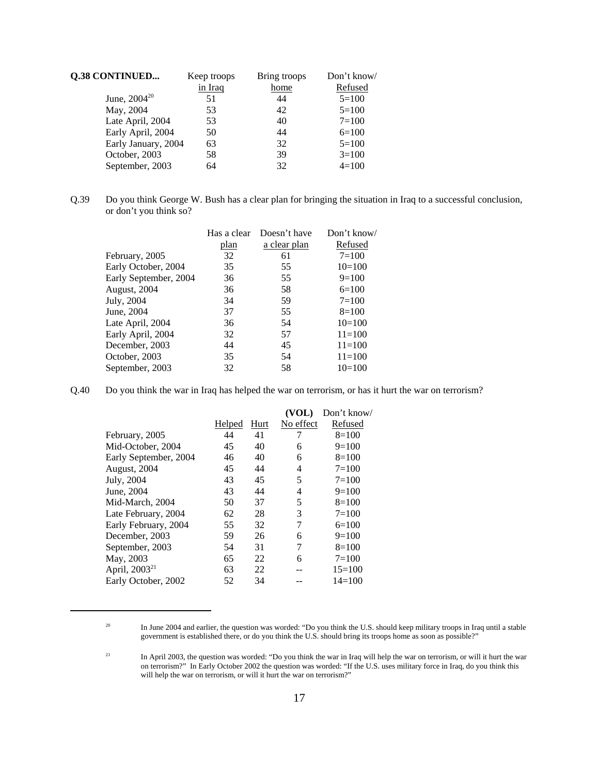| <b>Q.38 CONTINUED</b> | Keep troops | Bring troops | Don't know/ |
|-----------------------|-------------|--------------|-------------|
|                       | in Iraq     | home         | Refused     |
| June, $2004^{20}$     | 51          | 44           | $5=100$     |
| May, 2004             | 53          | 42           | $5=100$     |
| Late April, 2004      | 53          | 40           | $7 = 100$   |
| Early April, 2004     | 50          | 44           | $6=100$     |
| Early January, 2004   | 63          | 32           | $5=100$     |
| October, 2003         | 58          | 39           | $3=100$     |
| September, 2003       | 64          | 32           | $4=100$     |

Q.39 Do you think George W. Bush has a clear plan for bringing the situation in Iraq to a successful conclusion, or don't you think so?

|                       | Has a clear | Doesn't have | Don't know/ |
|-----------------------|-------------|--------------|-------------|
|                       | plan        | a clear plan | Refused     |
| February, 2005        | 32          | 61           | $7 = 100$   |
| Early October, 2004   | 35          | 55           | $10=100$    |
| Early September, 2004 | 36          | 55           | $9=100$     |
| August, 2004          | 36          | 58           | $6=100$     |
| July, 2004            | 34          | 59           | $7=100$     |
| June, 2004            | 37          | 55           | $8=100$     |
| Late April, 2004      | 36          | 54           | $10=100$    |
| Early April, 2004     | 32          | 57           | $11 = 100$  |
| December, 2003        | 44          | 45           | $11 = 100$  |
| October, 2003         | 35          | 54           | $11 = 100$  |
| September, 2003       | 32          | 58           | $10=100$    |
|                       |             |              |             |

Q.40 Do you think the war in Iraq has helped the war on terrorism, or has it hurt the war on terrorism?

|                           |        |      | (VOL)     | Don't know/ |
|---------------------------|--------|------|-----------|-------------|
|                           | Helped | Hurt | No effect | Refused     |
| February, 2005            | 44     | 41   | 7         | $8=100$     |
| Mid-October, 2004         | 45     | 40   | 6         | $9=100$     |
| Early September, 2004     | 46     | 40   | 6         | $8=100$     |
| August, 2004              | 45     | 44   | 4         | $7 = 100$   |
| July, 2004                | 43     | 45   | 5         | $7 = 100$   |
| June, 2004                | 43     | 44   | 4         | $9=100$     |
| Mid-March, 2004           | 50     | 37   | 5         | $8=100$     |
| Late February, 2004       | 62     | 28   | 3         | $7 = 100$   |
| Early February, 2004      | 55     | 32   | 7         | $6=100$     |
| December, 2003            | 59     | 26   | 6         | $9=100$     |
| September, 2003           | 54     | 31   | 7         | $8=100$     |
| May, 2003                 | 65     | 22   | 6         | $7 = 100$   |
| April, 2003 <sup>21</sup> | 63     | 22   |           | $15=100$    |
| Early October, 2002       | 52     | 34   |           | $14=100$    |
|                           |        |      |           |             |

<sup>&</sup>lt;sup>20</sup> In June 2004 and earlier, the question was worded: "Do you think the U.S. should keep military troops in Iraq until a stable government is established there, or do you think the U.S. should bring its troops home as soon as possible?"

<sup>&</sup>lt;sup>21</sup> In April 2003, the question was worded: "Do you think the war in Iraq will help the war on terrorism, or will it hurt the war on terrorism?" In Early October 2002 the question was worded: "If the U.S. uses military force in Iraq, do you think this will help the war on terrorism, or will it hurt the war on terrorism?"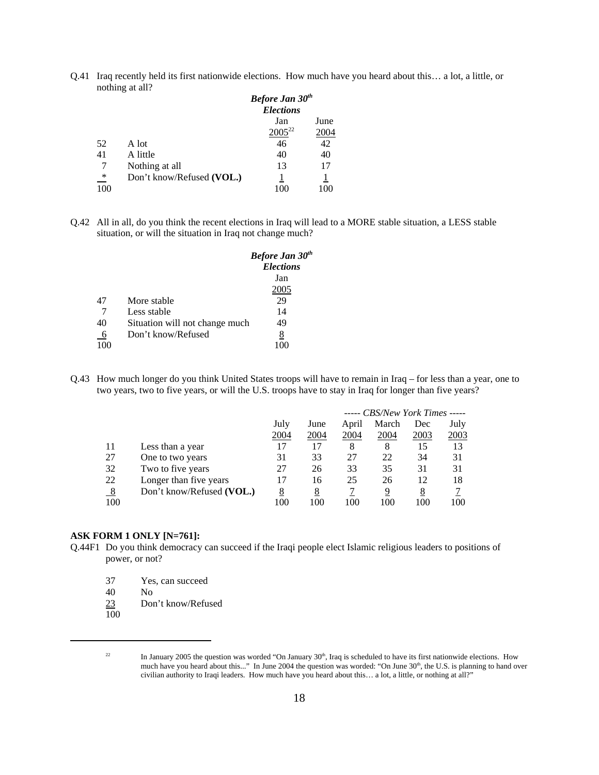Q.41 Iraq recently held its first nationwide elections. How much have you heard about this… a lot, a little, or nothing at all?

|                 |                           | <b>Before Jan 30th</b><br><b>Elections</b> |      |  |
|-----------------|---------------------------|--------------------------------------------|------|--|
|                 |                           | Jan                                        | June |  |
|                 |                           | $2005^{22}$                                | 2004 |  |
| 52              | A lot                     | 46                                         | 42   |  |
| 41              | A little                  | 40                                         | 40   |  |
| 7               | Nothing at all            | 13                                         | 17   |  |
| $\overline{\ }$ | Don't know/Refused (VOL.) |                                            |      |  |
| 100             |                           |                                            |      |  |

Q.42 All in all, do you think the recent elections in Iraq will lead to a MORE stable situation, a LESS stable situation, or will the situation in Iraq not change much?

|     |                                | <b>Before Jan 30th</b><br><b>Elections</b> |
|-----|--------------------------------|--------------------------------------------|
|     |                                | Jan                                        |
|     |                                | 2005                                       |
| 47  | More stable                    | 29                                         |
|     | Less stable                    | 14                                         |
| 40  | Situation will not change much | 49                                         |
| 6   | Don't know/Refused             | 8                                          |
| 100 |                                |                                            |

Q.43 How much longer do you think United States troops will have to remain in Iraq – for less than a year, one to two years, two to five years, or will the U.S. troops have to stay in Iraq for longer than five years?

|                  |                           | ----- CBS/New York Times ----- |          |       |       |      |      |
|------------------|---------------------------|--------------------------------|----------|-------|-------|------|------|
|                  |                           | July                           | June     | April | March | Dec  | July |
|                  |                           | 2004                           | 2004     | 2004  | 2004  | 2003 | 2003 |
| 11               | Less than a year          | 17                             | 17       | 8     | 8     | 15   | 13   |
| 27               | One to two years          | 31                             | 33       | 27    | 22    | 34   | 31   |
| 32               | Two to five years         | 27                             | 26       | 33    | 35    | 31   | 31   |
| 22               | Longer than five years    | 17                             | 16       | 25    | 26    | 12   | 18   |
| $_{\frac{8}{2}}$ | Don't know/Refused (VOL.) | <u>8</u>                       | <u>8</u> |       | 9     | 8    |      |
| 100              |                           | 100                            | 100      | 100   | 100   | 100  | 100  |

#### **ASK FORM 1 ONLY [N=761]:**

- Q.44F1 Do you think democracy can succeed if the Iraqi people elect Islamic religious leaders to positions of power, or not?
	- 37 Yes, can succeed
	- 40 No
	- 23 Don't know/Refused
	- 100

<sup>&</sup>lt;sup>22</sup> In January 2005 the question was worded "On January 30<sup>th</sup>, Iraq is scheduled to have its first nationwide elections. How much have you heard about this..." In June 2004 the question was worded: "On June 30<sup>th</sup>, the U.S. is planning to hand over civilian authority to Iraqi leaders. How much have you heard about this… a lot, a little, or nothing at all?"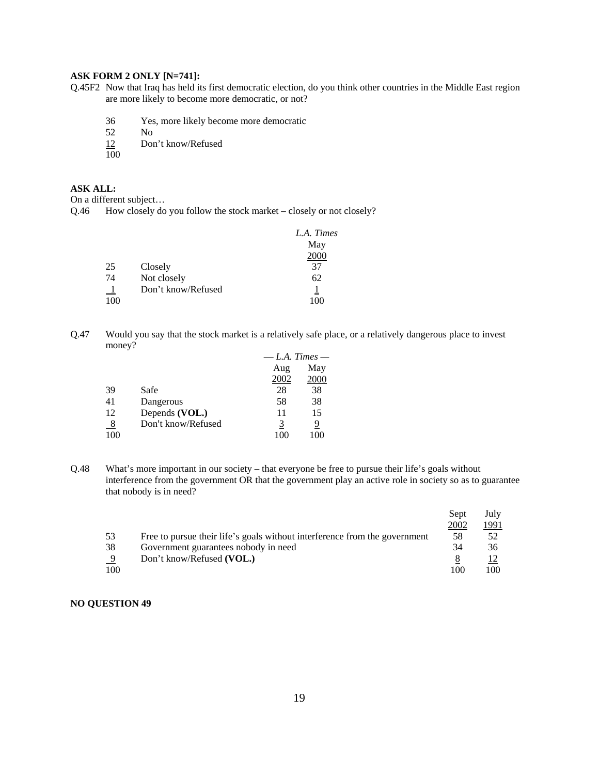## **ASK FORM 2 ONLY [N=741]:**

- Q.45F2 Now that Iraq has held its first democratic election, do you think other countries in the Middle East region are more likely to become more democratic, or not?
	- 36 Yes, more likely become more democratic
	-
	- $\begin{array}{ccc} 52 & \text{No} \\ \underline{12} & \text{Do} \end{array}$ Don't know/Refused
	- $\overline{100}$

# **ASK ALL:**

On a different subject…

Q.46 How closely do you follow the stock market – closely or not closely?

|     |                    | L.A. Times |
|-----|--------------------|------------|
|     |                    | May        |
|     |                    | 2000       |
| 25  | Closely            | 37         |
| 74  | Not closely        | 62         |
|     | Don't know/Refused |            |
| 100 |                    |            |

Q.47 Would you say that the stock market is a relatively safe place, or a relatively dangerous place to invest money?

|               |                    | $-L.A.$ Times $-$ |      |
|---------------|--------------------|-------------------|------|
|               |                    | Aug               | May  |
|               |                    | 2002              | 2000 |
| 39            | Safe               | 28                | 38   |
| 41            | Dangerous          | 58                | 38   |
| 12            | Depends (VOL.)     | 11                | 15   |
| $\frac{8}{1}$ | Don't know/Refused | 3                 | 9    |
| 100           |                    |                   | 100  |

Q.48 What's more important in our society – that everyone be free to pursue their life's goals without interference from the government OR that the government play an active role in society so as to guarantee that nobody is in need?

|     |                                                                            | Sept | July |
|-----|----------------------------------------------------------------------------|------|------|
|     |                                                                            | 2002 | 1991 |
| 53  | Free to pursue their life's goals without interference from the government | 58   | .52  |
| 38  | Government guarantees nobody in need                                       | 34   | 36   |
| 9   | Don't know/Refused (VOL.)                                                  |      |      |
| 100 |                                                                            | 100  | 100  |

## **NO QUESTION 49**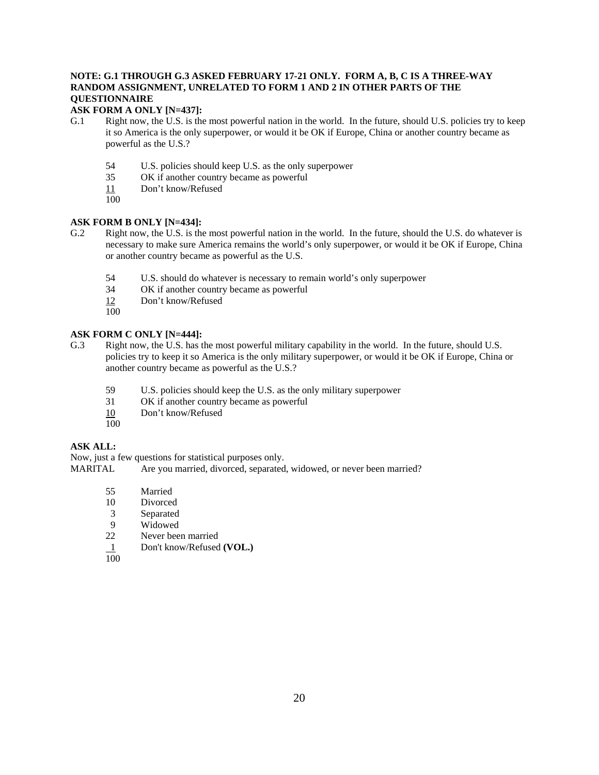# **NOTE: G.1 THROUGH G.3 ASKED FEBRUARY 17-21 ONLY. FORM A, B, C IS A THREE-WAY RANDOM ASSIGNMENT, UNRELATED TO FORM 1 AND 2 IN OTHER PARTS OF THE QUESTIONNAIRE**

# **ASK FORM A ONLY [N=437]:**

- G.1 Right now, the U.S. is the most powerful nation in the world. In the future, should U.S. policies try to keep it so America is the only superpower, or would it be OK if Europe, China or another country became as powerful as the U.S.?
	- 54 U.S. policies should keep U.S. as the only superpower<br>35 OK if another country became as powerful
	- OK if another country became as powerful
	- 11 Don't know/Refused
	- 100

# **ASK FORM B ONLY [N=434]:**

- G.2 Right now, the U.S. is the most powerful nation in the world. In the future, should the U.S. do whatever is necessary to make sure America remains the world's only superpower, or would it be OK if Europe, China or another country became as powerful as the U.S.
	- 54 U.S. should do whatever is necessary to remain world's only superpower
	- 34 OK if another country became as powerful
	- 12 Don't know/Refused
	- 100

# **ASK FORM C ONLY [N=444]:**

- G.3 Right now, the U.S. has the most powerful military capability in the world. In the future, should U.S. policies try to keep it so America is the only military superpower, or would it be OK if Europe, China or another country became as powerful as the U.S.?
	- 59 U.S. policies should keep the U.S. as the only military superpower
	- 31 OK if another country became as powerful
	- 10 Don't know/Refused
	- 100

# **ASK ALL:**

Now, just a few questions for statistical purposes only.

MARITAL Are you married, divorced, separated, widowed, or never been married?

- 55 Married
- 10 Divorced
- 3 Separated
- 9 Widowed
- 22 Never been married
- 1 Don't know/Refused **(VOL.)**
- $\overline{100}$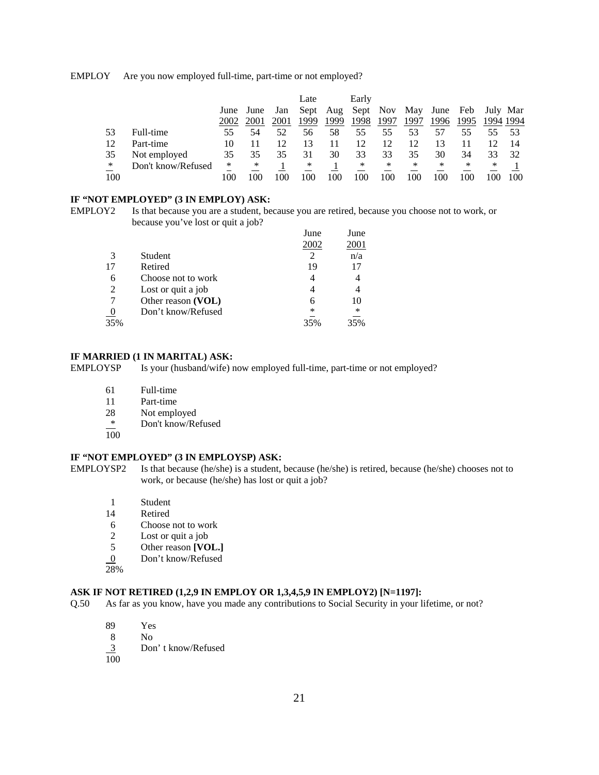EMPLOY Are you now employed full-time, part-time or not employed?

|     |                    |      |      |      | Late |      | Early |      |      |                       |      |           |     |
|-----|--------------------|------|------|------|------|------|-------|------|------|-----------------------|------|-----------|-----|
|     |                    | June | June | Jan  | Sept | Aug  |       |      |      | Sept Nov May June Feb |      | July Mar  |     |
|     |                    | 2002 | 2001 | 2001 | 1999 | 1999 | 1998  | 1997 | 1997 | 1996                  | 1995 | 1994 1994 |     |
| 53  | Full-time          | 55   | 54   | 52   | 56   | 58   | 55    | 55   | 53   | 57                    | 55   | 55        | -53 |
| 12  | Part-time          | 10   |      |      |      |      | 12    | 12   | 12   |                       |      |           | 14  |
| 35  | Not employed       | 35   | 35   | 35   | 31   | 30   | 33    | 33   | 35   | 30                    | 34   | 33        | 32  |
| ∗   | Don't know/Refused | *    | ∗    |      | ∗    |      | ∗     | ∗    | ∗    | ∗                     | ∗    | *         |     |
| 100 |                    | -00  |      | 00   | 100  | 100  | 100   | 100  | 100  | 100                   | 100  |           | 100 |

## **IF "NOT EMPLOYED" (3 IN EMPLOY) ASK:**

EMPLOY2 Is that because you are a student, because you are retired, because you choose not to work, or because you've lost or quit a job?

|     |                    | June | June   |
|-----|--------------------|------|--------|
|     |                    | 2002 | 2001   |
| 3   | Student            |      | n/a    |
| 17  | Retired            | 19   | 17     |
| 6   | Choose not to work |      |        |
| 2   | Lost or quit a job |      |        |
|     | Other reason (VOL) |      | 10     |
|     | Don't know/Refused | *    | $\ast$ |
| 35% |                    | 35%  |        |

#### **IF MARRIED (1 IN MARITAL) ASK:**

EMPLOYSP Is your (husband/wife) now employed full-time, part-time or not employed?

- 61 Full-time
- 11 Part-time
- 28 Not employed
- \* Don't know/Refused
- $\overline{100}$

# **IF "NOT EMPLOYED" (3 IN EMPLOYSP) ASK:**

EMPLOYSP2 Is that because (he/she) is a student, because (he/she) is retired, because (he/she) chooses not to work, or because (he/she) has lost or quit a job?

- 1 Student<br>14 Retired
- **Retired**
- 6 Choose not to work
- 2 Lost or quit a job<br>5 Other reason [VO
- 5 Other reason **[VOL.]**
- 0 Don't know/Refused
- 28%

# **ASK IF NOT RETIRED (1,2,9 IN EMPLOY OR 1,3,4,5,9 IN EMPLOY2) [N=1197]:**

- Q.50 As far as you know, have you made any contributions to Social Security in your lifetime, or not?
	- 89 Yes
	- 8 No
	- Don't know/Refused  $\frac{3}{100}$
	-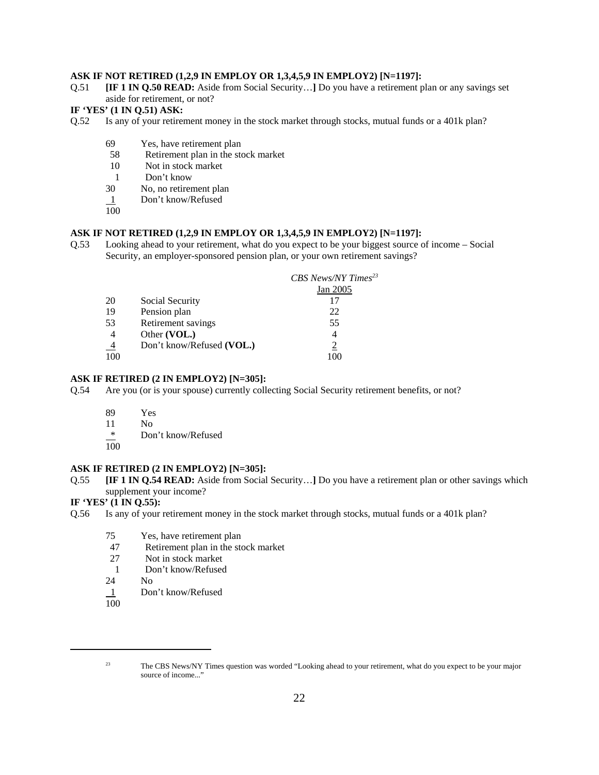## **ASK IF NOT RETIRED (1,2,9 IN EMPLOY OR 1,3,4,5,9 IN EMPLOY2) [N=1197]:**

Q.51 **[IF 1 IN Q.50 READ:** Aside from Social Security…**]** Do you have a retirement plan or any savings set aside for retirement, or not?

## **IF 'YES' (1 IN Q.51) ASK:**

- Q.52 Is any of your retirement money in the stock market through stocks, mutual funds or a 401k plan?
	- 69 Yes, have retirement plan
	- 58 Retirement plan in the stock market
	- 10 Not in stock market
	- 1 Don't know
	- 30 No, no retirement plan
	- 1 Don't know/Refused
	- $\overline{100}$

#### **ASK IF NOT RETIRED (1,2,9 IN EMPLOY OR 1,3,4,5,9 IN EMPLOY2) [N=1197]:**

Q.53 Looking ahead to your retirement, what do you expect to be your biggest source of income – Social Security, an employer-sponsored pension plan, or your own retirement savings?

|     |                           | CBS News/NY Times <sup>23</sup> |
|-----|---------------------------|---------------------------------|
|     |                           | Jan 2005                        |
| 20  | Social Security           | 17                              |
| 19  | Pension plan              | 22                              |
| 53  | Retirement savings        | 55                              |
|     | Other (VOL.)              |                                 |
|     | Don't know/Refused (VOL.) |                                 |
| 100 |                           |                                 |

#### **ASK IF RETIRED (2 IN EMPLOY2) [N=305]:**

- Q.54 Are you (or is your spouse) currently collecting Social Security retirement benefits, or not?
	- 89 Yes
	- 11 No
	- \* Don't know/Refused
	- 100

## **ASK IF RETIRED (2 IN EMPLOY2) [N=305]:**

Q.55 **[IF 1 IN Q.54 READ:** Aside from Social Security…**]** Do you have a retirement plan or other savings which supplement your income?

### **IF 'YES' (1 IN Q.55):**

- Q.56 Is any of your retirement money in the stock market through stocks, mutual funds or a 401k plan?
	- 75 Yes, have retirement plan
	- 47 Retirement plan in the stock market
	- 27 Not in stock market
	- 1 Don't know/Refused<br>24 No
	- N<sub>o</sub>
	- 1 Don't know/Refused
	- $\overline{100}$

<sup>23</sup> The CBS News/NY Times question was worded "Looking ahead to your retirement, what do you expect to be your major source of income..."